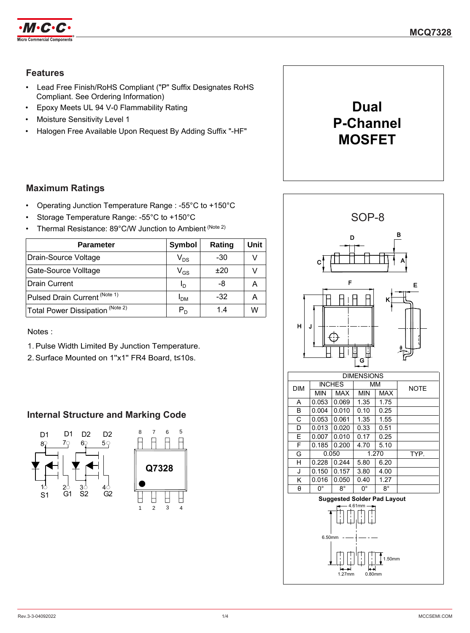

## **Features**

- Lead Free Finish/RoHS Compliant ("P" Suffix Designates RoHS Compliant. See Ordering Information)
- Epoxy Meets UL 94 V-0 Flammability Rating
- Moisture Sensitivity Level 1
- Halogen Free Available Upon Request By Adding Suffix "-HF"



## **Maximum Ratings**

- Operating Junction Temperature Range : -55°C to +150°C
- Storage Temperature Range: -55°C to +150°C
- Thermal Resistance: 89°C/W Junction to Ambient (Note 2)

| <b>Parameter</b>                            | <b>Symbol</b>          | Rating | Unit |
|---------------------------------------------|------------------------|--------|------|
| Drain-Source Voltage                        | $V_{DS}$               | -30    |      |
| Gate-Source Volltage                        | $\rm V_{GS}$           | ±20    |      |
| <b>Drain Current</b>                        | Ιŋ                     | -8     |      |
| Pulsed Drain Current (Note 1)               | <b>I</b> <sub>DM</sub> | $-32$  |      |
| Total Power Dissipation <sup>(Note 2)</sup> | $P_D$                  | 1.4    | w    |

Notes :

- 1. Pulse Width Limited By Junction Temperature.
- 2.Surface Mounted on 1''x1'' FR4 Board, t≤10s.

## **Internal Structure and Marking Code**



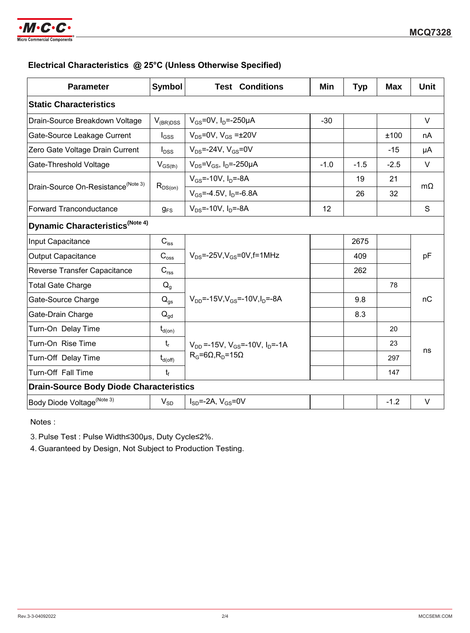

## **Electrical Characteristics @ 25°C (Unless Otherwise Specified)**

| <b>Parameter</b>                               | <b>Symbol</b>              | <b>Test Conditions</b>                          | Min    | <b>Typ</b> | <b>Max</b> | <b>Unit</b> |  |
|------------------------------------------------|----------------------------|-------------------------------------------------|--------|------------|------------|-------------|--|
| <b>Static Characteristics</b>                  |                            |                                                 |        |            |            |             |  |
| Drain-Source Breakdown Voltage                 | $V_{(BR)DSS}$              | $V_{GS}$ =0V, $I_D$ =-250µA                     | $-30$  |            |            | $\vee$      |  |
| Gate-Source Leakage Current                    | $I_{GSS}$                  | $V_{DS}$ =0V, $V_{GS}$ = $\pm$ 20V              |        |            | ±100       | nA          |  |
| Zero Gate Voltage Drain Current                | $I_{DSS}$                  | $V_{DS} = -24V$ , $V_{GS} = 0V$                 |        |            | $-15$      | μA          |  |
| Gate-Threshold Voltage                         | $V_{GS(th)}$               | $V_{DS} = V_{GS}$ , I <sub>D</sub> =-250µA      | $-1.0$ | $-1.5$     | $-2.5$     | $\vee$      |  |
| Drain-Source On-Resistance <sup>(Note 3)</sup> | $R_{DS(on)}$               | $V_{GS}$ =-10V, $I_{D}$ =-8A                    |        | 19         | 21         | $m\Omega$   |  |
|                                                |                            | $V_{GS}$ =-4.5V, $I_D$ =-6.8A                   |        | 26         | 32         |             |  |
| <b>Forward Tranconductance</b>                 | $g_{FS}$                   | $V_{DS}$ =-10V, $I_{D}$ =-8A                    | 12     |            |            | S           |  |
| Dynamic Characteristics <sup>(Note 4)</sup>    |                            |                                                 |        |            |            |             |  |
| Input Capacitance                              | $C_{iss}$                  |                                                 |        | 2675       |            | pF          |  |
| <b>Output Capacitance</b>                      | $C_{\rm oss}$              | $V_{DS}$ =-25V, $V_{GS}$ =0V, f=1MHz            |        | 409        |            |             |  |
| Reverse Transfer Capacitance                   | $C_{\text{rss}}$           |                                                 |        | 262        |            |             |  |
| <b>Total Gate Charge</b>                       | $Q_g$                      |                                                 |        |            | 78         |             |  |
| Gate-Source Charge                             | $\mathsf{Q}_{\mathsf{gs}}$ | $V_{DD} = -15V$ , $V_{GS} = -10V$ , $I_D = -8A$ |        | 9.8        |            | nC          |  |
| Gate-Drain Charge                              | $\mathsf{Q}_{\mathsf{gd}}$ |                                                 |        | 8.3        |            |             |  |
| Turn-On Delay Time                             | $t_{d(on)}$                |                                                 |        |            | 20         |             |  |
| Turn-On Rise Time                              | $t_{r}$                    | $V_{DD}$ =-15V, $V_{GS}$ =-10V, $I_{D}$ =-1A    |        |            | 23         |             |  |
| Turn-Off Delay Time                            | $t_{d(\text{off})}$        | $R_G=6\Omega, R_D=15\Omega$                     |        |            | 297        | ns          |  |
| Turn-Off Fall Time                             | t,                         |                                                 |        |            | 147        |             |  |
| <b>Drain-Source Body Diode Characteristics</b> |                            |                                                 |        |            |            |             |  |
| Body Diode Voltage <sup>(Note 3)</sup>         | $V_{SD}$                   | $I_{SD} = -2A$ , $V_{GS} = 0V$                  |        |            | $-1.2$     | $\vee$      |  |

Notes :

3. Pulse Test : Pulse Width≤300µs, Duty Cycle≤2%.

4.Guaranteed by Design, Not Subject to Production Testing.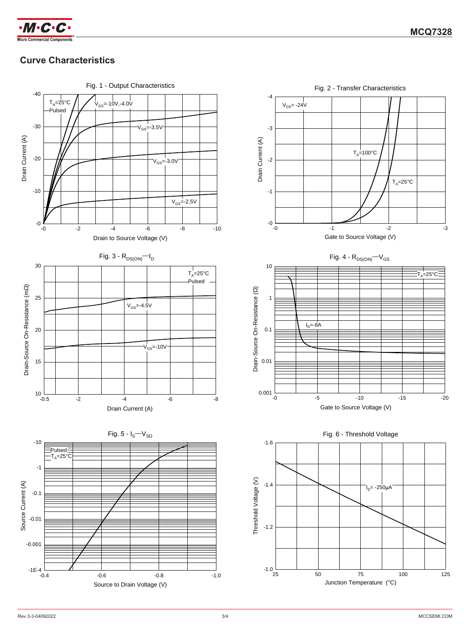

# **Curve Characteristics**